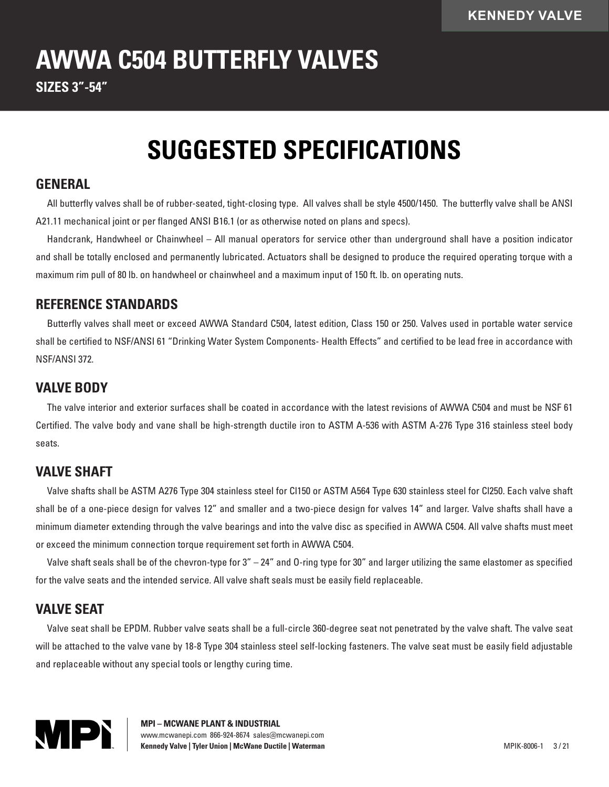# **AWWA C504 BUTTERFLY VALVES**

**SIZES 3"-54"**

## **SUGGESTED SPECIFICATIONS**

#### **GENERAL**

All butterfly valves shall be of rubber-seated, tight-closing type. All valves shall be style 4500/1450. The butterfly valve shall be ANSI A21.11 mechanical joint or per flanged ANSI B16.1 (or as otherwise noted on plans and specs).

Handcrank, Handwheel or Chainwheel – All manual operators for service other than underground shall have a position indicator and shall be totally enclosed and permanently lubricated. Actuators shall be designed to produce the required operating torque with a maximum rim pull of 80 lb. on handwheel or chainwheel and a maximum input of 150 ft. lb. on operating nuts.

#### **REFERENCE STANDARDS**

Butterfly valves shall meet or exceed AWWA Standard C504, latest edition, Class 150 or 250. Valves used in portable water service shall be certified to NSF/ANSI 61 "Drinking Water System Components- Health Effects" and certified to be lead free in accordance with NSF/ANSI 372.

#### **VALVE BODY**

The valve interior and exterior surfaces shall be coated in accordance with the latest revisions of AWWA C504 and must be NSF 61 Certified. The valve body and vane shall be high-strength ductile iron to ASTM A-536 with ASTM A-276 Type 316 stainless steel body seats.

#### **VALVE SHAFT**

Valve shafts shall be ASTM A276 Type 304 stainless steel for Cl150 or ASTM A564 Type 630 stainless steel for Cl250. Each valve shaft shall be of a one-piece design for valves 12" and smaller and a two-piece design for valves 14" and larger. Valve shafts shall have a minimum diameter extending through the valve bearings and into the valve disc as specified in AWWA C504. All valve shafts must meet or exceed the minimum connection torque requirement set forth in AWWA C504.

Valve shaft seals shall be of the chevron-type for 3" – 24" and O-ring type for 30" and larger utilizing the same elastomer as specified for the valve seats and the intended service. All valve shaft seals must be easily field replaceable.

### **VALVE SEAT**

Valve seat shall be EPDM. Rubber valve seats shall be a full-circle 360-degree seat not penetrated by the valve shaft. The valve seat will be attached to the valve vane by 18-8 Type 304 stainless steel self-locking fasteners. The valve seat must be easily field adjustable and replaceable without any special tools or lengthy curing time.



**MPI – MCWANE PLANT & INDUSTRIAL** www.mcwanepi.com 866-924-8674 sales@mcwanepi.com **Kennedy Valve | Tyler Union | McWane Ductile | Waterman | New York | New York | MPIK-8006-1 3/21**